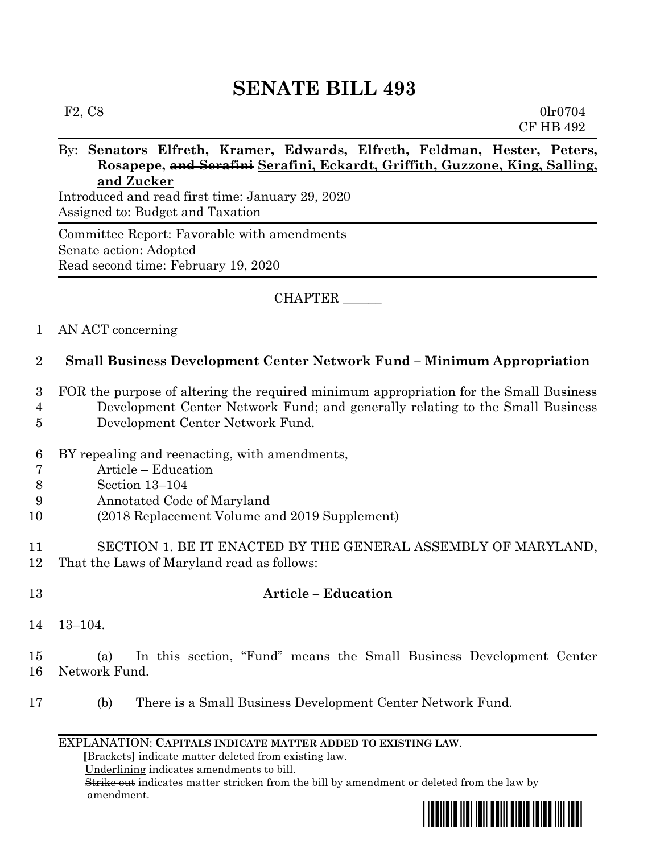# **SENATE BILL 493**

# F2, C8 0lr0704

# **Rosapepe, and Serafini Serafini, Eckardt, Griffith, Guzzone, King, Salling, and Zucker**

Introduced and read first time: January 29, 2020 Assigned to: Budget and Taxation

Committee Report: Favorable with amendments Senate action: Adopted Read second time: February 19, 2020

## CHAPTER \_\_\_\_\_\_

### 1 AN ACT concerning

## 2 **Small Business Development Center Network Fund – Minimum Appropriation**

3 FOR the purpose of altering the required minimum appropriation for the Small Business 4 Development Center Network Fund; and generally relating to the Small Business 5 Development Center Network Fund.

- 
- 6 BY repealing and reenacting, with amendments,
- 7 Article Education
- 8 Section 13–104
- 9 Annotated Code of Maryland
- 10 (2018 Replacement Volume and 2019 Supplement)

#### 11 SECTION 1. BE IT ENACTED BY THE GENERAL ASSEMBLY OF MARYLAND, 12 That the Laws of Maryland read as follows:

# 13 **Article – Education**

14 13–104.

#### 15 (a) In this section, "Fund" means the Small Business Development Center 16 Network Fund.

17 (b) There is a Small Business Development Center Network Fund.

#### EXPLANATION: **CAPITALS INDICATE MATTER ADDED TO EXISTING LAW**.

 **[**Brackets**]** indicate matter deleted from existing law.

Underlining indicates amendments to bill.

 Strike out indicates matter stricken from the bill by amendment or deleted from the law by amendment.